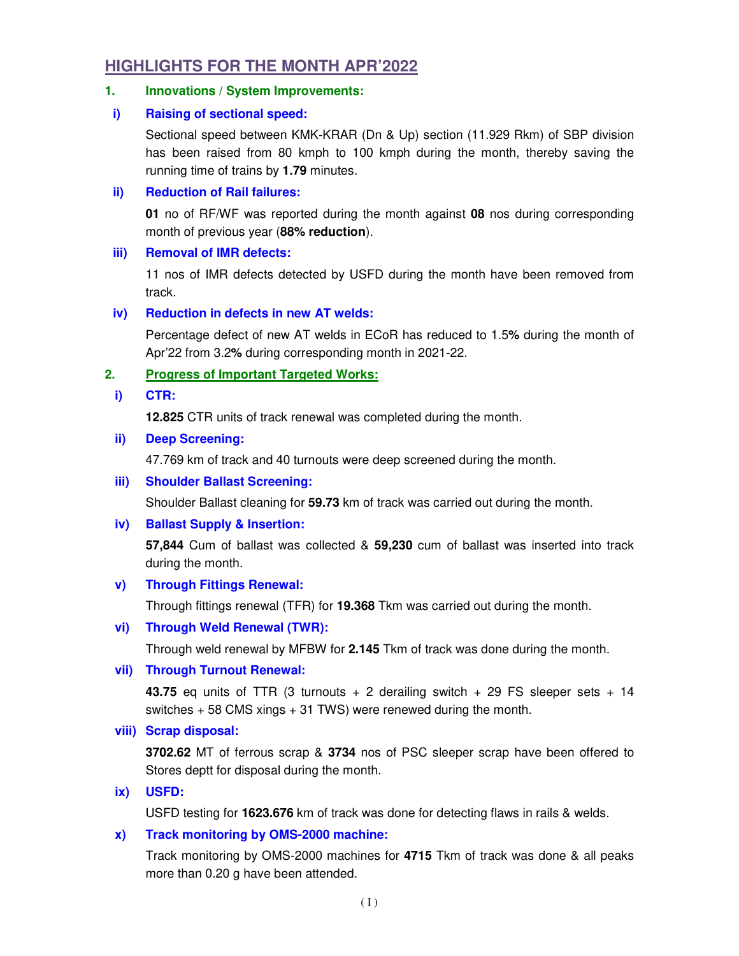# **HIGHLIGHTS FOR THE MONTH APR'2022**

## **1. Innovations / System Improvements:**

# **i) Raising of sectional speed:**

Sectional speed between KMK-KRAR (Dn & Up) section (11.929 Rkm) of SBP division has been raised from 80 kmph to 100 kmph during the month, thereby saving the running time of trains by **1.79** minutes.

# **ii) Reduction of Rail failures:**

**01** no of RF/WF was reported during the month against **08** nos during corresponding month of previous year (**88% reduction**).

# **iii) Removal of IMR defects:**

11 nos of IMR defects detected by USFD during the month have been removed from track.

# **iv) Reduction in defects in new AT welds:**

Percentage defect of new AT welds in ECoR has reduced to 1.5**%** during the month of Apr'22 from 3.2**%** during corresponding month in 2021-22.

# **2. Progress of Important Targeted Works:**

### **i) CTR:**

**12.825** CTR units of track renewal was completed during the month.

### **ii) Deep Screening:**

47.769 km of track and 40 turnouts were deep screened during the month.

### **iii) Shoulder Ballast Screening:**

Shoulder Ballast cleaning for **59.73** km of track was carried out during the month.

### **iv) Ballast Supply & Insertion:**

**57,844** Cum of ballast was collected & **59,230** cum of ballast was inserted into track during the month.

### **v) Through Fittings Renewal:**

Through fittings renewal (TFR) for **19.368** Tkm was carried out during the month.

### **vi) Through Weld Renewal (TWR):**

Through weld renewal by MFBW for **2.145** Tkm of track was done during the month.

### **vii) Through Turnout Renewal:**

**43.75** eq units of TTR  $(3 \text{ turnouts } + 2 \text{ derailing switch } + 29 \text{ FS sleeper sets } + 14$ switches + 58 CMS xings + 31 TWS) were renewed during the month.

### **viii) Scrap disposal:**

**3702.62** MT of ferrous scrap & **3734** nos of PSC sleeper scrap have been offered to Stores deptt for disposal during the month.

## **ix) USFD:**

USFD testing for **1623.676** km of track was done for detecting flaws in rails & welds.

### **x) Track monitoring by OMS-2000 machine:**

Track monitoring by OMS-2000 machines for **4715** Tkm of track was done & all peaks more than 0.20 g have been attended.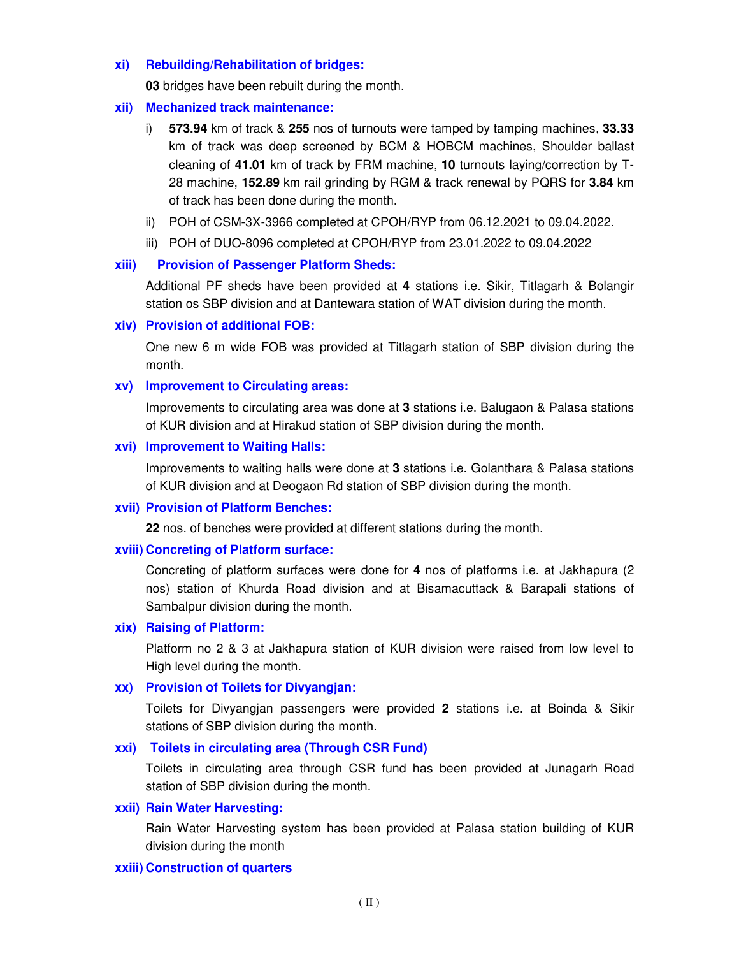#### **xi) Rebuilding/Rehabilitation of bridges:**

**03** bridges have been rebuilt during the month.

#### **xii) Mechanized track maintenance:**

- i) **573.94** km of track & **255** nos of turnouts were tamped by tamping machines, **33.33** km of track was deep screened by BCM & HOBCM machines, Shoulder ballast cleaning of **41.01** km of track by FRM machine, **10** turnouts laying/correction by T-28 machine, **152.89** km rail grinding by RGM & track renewal by PQRS for **3.84** km of track has been done during the month.
- ii) POH of CSM-3X-3966 completed at CPOH/RYP from 06.12.2021 to 09.04.2022.
- iii) POH of DUO-8096 completed at CPOH/RYP from 23.01.2022 to 09.04.2022

### **xiii) Provision of Passenger Platform Sheds:**

Additional PF sheds have been provided at **4** stations i.e. Sikir, Titlagarh & Bolangir station os SBP division and at Dantewara station of WAT division during the month.

#### **xiv) Provision of additional FOB:**

One new 6 m wide FOB was provided at Titlagarh station of SBP division during the month.

### **xv) Improvement to Circulating areas:**

Improvements to circulating area was done at **3** stations i.e. Balugaon & Palasa stations of KUR division and at Hirakud station of SBP division during the month.

#### **xvi) Improvement to Waiting Halls:**

Improvements to waiting halls were done at **3** stations i.e. Golanthara & Palasa stations of KUR division and at Deogaon Rd station of SBP division during the month.

#### **xvii) Provision of Platform Benches:**

**22** nos. of benches were provided at different stations during the month.

#### **xviii) Concreting of Platform surface:**

Concreting of platform surfaces were done for **4** nos of platforms i.e. at Jakhapura (2 nos) station of Khurda Road division and at Bisamacuttack & Barapali stations of Sambalpur division during the month.

#### **xix) Raising of Platform:**

Platform no 2 & 3 at Jakhapura station of KUR division were raised from low level to High level during the month.

#### **xx) Provision of Toilets for Divyangjan:**

Toilets for Divyangjan passengers were provided **2** stations i.e. at Boinda & Sikir stations of SBP division during the month.

### **xxi) Toilets in circulating area (Through CSR Fund)**

Toilets in circulating area through CSR fund has been provided at Junagarh Road station of SBP division during the month.

#### **xxii) Rain Water Harvesting:**

Rain Water Harvesting system has been provided at Palasa station building of KUR division during the month

#### **xxiii) Construction of quarters**